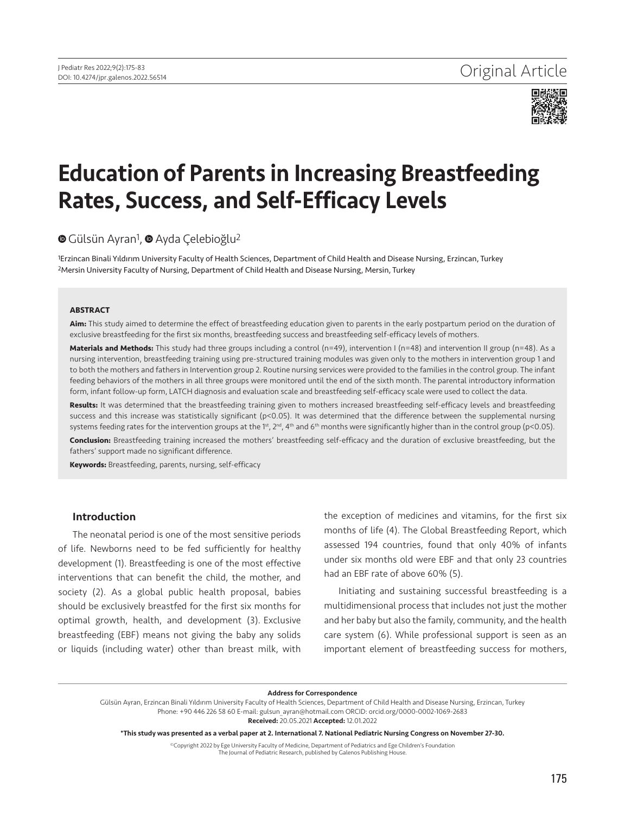

# Education of Parents in Increasing Breastfeeding Rates, Success, and Self-Efficacy Levels

## **■**Gülsün Ayran<sup>1</sup>, ■ Ayda Celebioğlu<sup>2</sup>

<sup>1</sup>Erzincan Binali Yıldırım University Faculty of Health Sciences, Department of Child Health and Disease Nursing, Erzincan, Turkey 2Mersin University Faculty of Nursing, Department of Child Health and Disease Nursing, Mersin, Turkey

#### **ABSTRACT**

**Aim:** This study aimed to determine the effect of breastfeeding education given to parents in the early postpartum period on the duration of exclusive breastfeeding for the first six months, breastfeeding success and breastfeeding self-efficacy levels of mothers.

Materials and Methods: This study had three groups including a control (n=49), intervention I (n=48) and intervention II group (n=48). As a nursing intervention, breastfeeding training using pre-structured training modules was given only to the mothers in intervention group 1 and to both the mothers and fathers in Intervention group 2. Routine nursing services were provided to the families in the control group. The infant feeding behaviors of the mothers in all three groups were monitored until the end of the sixth month. The parental introductory information form, infant follow-up form, LATCH diagnosis and evaluation scale and breastfeeding self-efficacy scale were used to collect the data.

**Results:** It was determined that the breastfeeding training given to mothers increased breastfeeding self-efficacy levels and breastfeeding success and this increase was statistically significant (p<0.05). It was determined that the difference between the supplemental nursing systems feeding rates for the intervention groups at the 1st, 2<sup>nd</sup>, 4<sup>th</sup> and 6<sup>th</sup> months were significantly higher than in the control group (p<0.05).

**Conclusion:** Breastfeeding training increased the mothers' breastfeeding self-efficacy and the duration of exclusive breastfeeding, but the fathers' support made no significant difference.

**Keywords:** Breastfeeding, parents, nursing, self-efficacy

#### Introduction

The neonatal period is one of the most sensitive periods of life. Newborns need to be fed sufficiently for healthy development (1). Breastfeeding is one of the most effective interventions that can benefit the child, the mother, and society (2). As a global public health proposal, babies should be exclusively breastfed for the first six months for optimal growth, health, and development (3). Exclusive breastfeeding (EBF) means not giving the baby any solids or liquids (including water) other than breast milk, with

the exception of medicines and vitamins, for the first six months of life (4). The Global Breastfeeding Report, which assessed 194 countries, found that only 40% of infants under six months old were EBF and that only 23 countries had an EBF rate of above 60% (5).

Initiating and sustaining successful breastfeeding is a multidimensional process that includes not just the mother and her baby but also the family, community, and the health care system (6). While professional support is seen as an important element of breastfeeding success for mothers,

#### Address for Correspondence

Gülsün Ayran, Erzincan Binali Yıldırım University Faculty of Health Sciences, Department of Child Health and Disease Nursing, Erzincan, Turkey Phone: +90 446 226 58 60 E-mail: gulsun\_ayran@hotmail.com ORCID: orcid.org/0000-0002-1069-2683

Received: 20.05.2021 Accepted: 12.01.2022

©Copyright 2022 by Ege University Faculty of Medicine, Department of Pediatrics and Ege Children's Foundation The Journal of Pediatric Research, published by Galenos Publishing House.

<sup>\*</sup>This study was presented as a verbal paper at 2. International 7. National Pediatric Nursing Congress on November 27-30.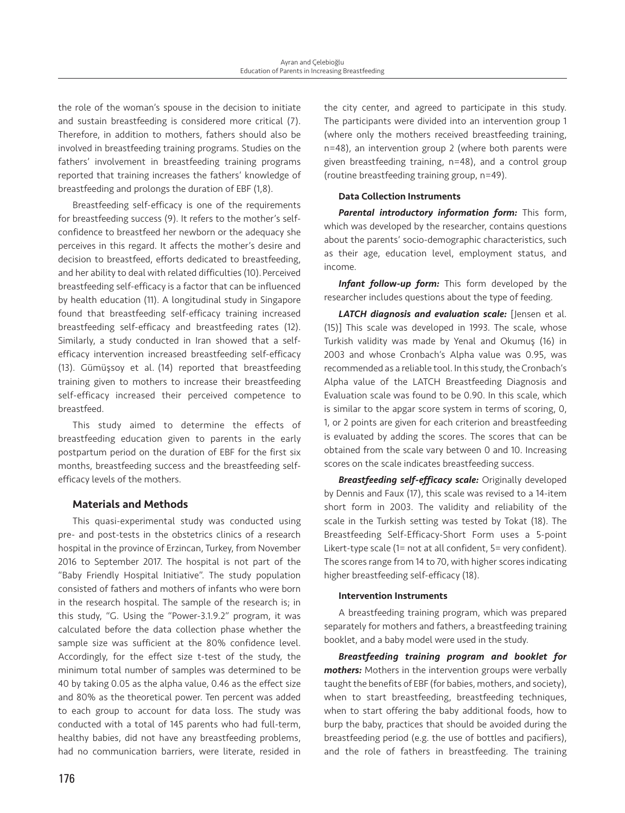the role of the woman's spouse in the decision to initiate and sustain breastfeeding is considered more critical (7). Therefore, in addition to mothers, fathers should also be involved in breastfeeding training programs. Studies on the fathers' involvement in breastfeeding training programs reported that training increases the fathers' knowledge of breastfeeding and prolongs the duration of EBF (1,8).

Breastfeeding self-efficacy is one of the requirements for breastfeeding success (9). It refers to the mother's selfconfidence to breastfeed her newborn or the adequacy she perceives in this regard. It affects the mother's desire and decision to breastfeed, efforts dedicated to breastfeeding, and her ability to deal with related difficulties (10). Perceived breastfeeding self-efficacy is a factor that can be influenced by health education (11). A longitudinal study in Singapore found that breastfeeding self-efficacy training increased breastfeeding self-efficacy and breastfeeding rates (12). Similarly, a study conducted in Iran showed that a selfefficacy intervention increased breastfeeding self-efficacy (13). Gümüşsoy et al. (14) reported that breastfeeding training given to mothers to increase their breastfeeding self-efficacy increased their perceived competence to breastfeed.

This study aimed to determine the effects of breastfeeding education given to parents in the early postpartum period on the duration of EBF for the first six months, breastfeeding success and the breastfeeding selfefficacy levels of the mothers.

## Materials and Methods

This quasi-experimental study was conducted using pre- and post-tests in the obstetrics clinics of a research hospital in the province of Erzincan, Turkey, from November 2016 to September 2017. The hospital is not part of the "Baby Friendly Hospital Initiative". The study population consisted of fathers and mothers of infants who were born in the research hospital. The sample of the research is; in this study, "G. Using the "Power-3.1.9.2" program, it was calculated before the data collection phase whether the sample size was sufficient at the 80% confidence level. Accordingly, for the effect size t-test of the study, the minimum total number of samples was determined to be 40 by taking 0.05 as the alpha value, 0.46 as the effect size and 80% as the theoretical power. Ten percent was added to each group to account for data loss. The study was conducted with a total of 145 parents who had full-term, healthy babies, did not have any breastfeeding problems, had no communication barriers, were literate, resided in the city center, and agreed to participate in this study. The participants were divided into an intervention group 1 (where only the mothers received breastfeeding training, n=48), an intervention group 2 (where both parents were given breastfeeding training, n=48), and a control group (routine breastfeeding training group, n=49).

## Data Collection Instruments

*Parental introductory information form:* This form, which was developed by the researcher, contains questions about the parents' socio-demographic characteristics, such as their age, education level, employment status, and income.

*Infant follow-up form:* This form developed by the researcher includes questions about the type of feeding.

*LATCH diagnosis and evaluation scale:* [Jensen et al. (15)] This scale was developed in 1993. The scale, whose Turkish validity was made by Yenal and Okumuş (16) in 2003 and whose Cronbach's Alpha value was 0.95, was recommended as a reliable tool. In this study, the Cronbach's Alpha value of the LATCH Breastfeeding Diagnosis and Evaluation scale was found to be 0.90. In this scale, which is similar to the apgar score system in terms of scoring, 0, 1, or 2 points are given for each criterion and breastfeeding is evaluated by adding the scores. The scores that can be obtained from the scale vary between 0 and 10. Increasing scores on the scale indicates breastfeeding success.

*Breastfeeding self-efficacy scale:* Originally developed by Dennis and Faux (17), this scale was revised to a 14-item short form in 2003. The validity and reliability of the scale in the Turkish setting was tested by Tokat (18). The Breastfeeding Self-Efficacy-Short Form uses a 5-point Likert-type scale (1= not at all confident, 5= very confident). The scores range from 14 to 70, with higher scores indicating higher breastfeeding self-efficacy (18).

#### Intervention Instruments

A breastfeeding training program, which was prepared separately for mothers and fathers, a breastfeeding training booklet, and a baby model were used in the study.

*Breastfeeding training program and booklet for mothers:* Mothers in the intervention groups were verbally taught the benefits of EBF (for babies, mothers, and society), when to start breastfeeding, breastfeeding techniques, when to start offering the baby additional foods, how to burp the baby, practices that should be avoided during the breastfeeding period (e.g. the use of bottles and pacifiers), and the role of fathers in breastfeeding. The training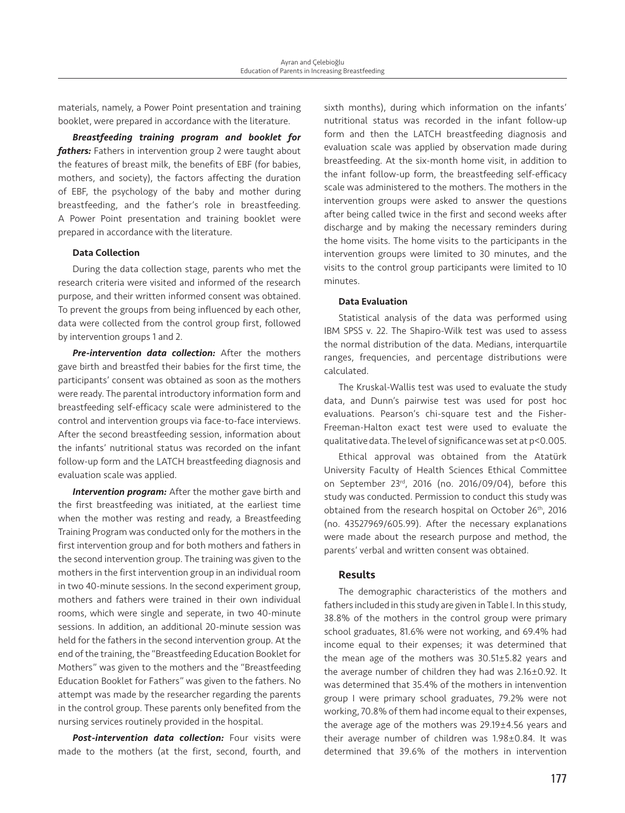materials, namely, a Power Point presentation and training booklet, were prepared in accordance with the literature.

*Breastfeeding training program and booklet for fathers:* Fathers in intervention group 2 were taught about the features of breast milk, the benefits of EBF (for babies, mothers, and society), the factors affecting the duration of EBF, the psychology of the baby and mother during breastfeeding, and the father's role in breastfeeding. A Power Point presentation and training booklet were prepared in accordance with the literature.

#### Data Collection

During the data collection stage, parents who met the research criteria were visited and informed of the research purpose, and their written informed consent was obtained. To prevent the groups from being influenced by each other, data were collected from the control group first, followed by intervention groups 1 and 2.

*Pre-intervention data collection:* After the mothers gave birth and breastfed their babies for the first time, the participants' consent was obtained as soon as the mothers were ready. The parental introductory information form and breastfeeding self-efficacy scale were administered to the control and intervention groups via face-to-face interviews. After the second breastfeeding session, information about the infants' nutritional status was recorded on the infant follow-up form and the LATCH breastfeeding diagnosis and evaluation scale was applied.

*Intervention program:* After the mother gave birth and the first breastfeeding was initiated, at the earliest time when the mother was resting and ready, a Breastfeeding Training Program was conducted only for the mothers in the first intervention group and for both mothers and fathers in the second intervention group. The training was given to the mothers in the first intervention group in an individual room in two 40-minute sessions. In the second experiment group, mothers and fathers were trained in their own individual rooms, which were single and seperate, in two 40-minute sessions. In addition, an additional 20-minute session was held for the fathers in the second intervention group. At the end of the training, the "Breastfeeding Education Booklet for Mothers" was given to the mothers and the "Breastfeeding Education Booklet for Fathers" was given to the fathers. No attempt was made by the researcher regarding the parents in the control group. These parents only benefited from the nursing services routinely provided in the hospital.

*Post-intervention data collection:* Four visits were made to the mothers (at the first, second, fourth, and sixth months), during which information on the infants' nutritional status was recorded in the infant follow-up form and then the LATCH breastfeeding diagnosis and evaluation scale was applied by observation made during breastfeeding. At the six-month home visit, in addition to the infant follow-up form, the breastfeeding self-efficacy scale was administered to the mothers. The mothers in the intervention groups were asked to answer the questions after being called twice in the first and second weeks after discharge and by making the necessary reminders during the home visits. The home visits to the participants in the intervention groups were limited to 30 minutes, and the visits to the control group participants were limited to 10 minutes.

#### Data Evaluation

Statistical analysis of the data was performed using IBM SPSS v. 22. The Shapiro-Wilk test was used to assess the normal distribution of the data. Medians, interquartile ranges, frequencies, and percentage distributions were calculated.

The Kruskal-Wallis test was used to evaluate the study data, and Dunn's pairwise test was used for post hoc evaluations. Pearson's chi-square test and the Fisher-Freeman-Halton exact test were used to evaluate the qualitative data. The level of significance was set at p<0.005.

Ethical approval was obtained from the Atatürk University Faculty of Health Sciences Ethical Committee on September 23rd, 2016 (no. 2016/09/04), before this study was conducted. Permission to conduct this study was obtained from the research hospital on October 26<sup>th</sup>, 2016 (no. 43527969/605.99). After the necessary explanations were made about the research purpose and method, the parents' verbal and written consent was obtained.

### Results

The demographic characteristics of the mothers and fathers included in this study are given in Table I. In this study, 38.8% of the mothers in the control group were primary school graduates, 81.6% were not working, and 69.4% had income equal to their expenses; it was determined that the mean age of the mothers was 30.51±5.82 years and the average number of children they had was 2.16±0.92. It was determined that 35.4% of the mothers in intenvention group I were primary school graduates, 79.2% were not working, 70.8% of them had income equal to their expenses, the average age of the mothers was 29.19±4.56 years and their average number of children was 1.98±0.84. It was determined that 39.6% of the mothers in intervention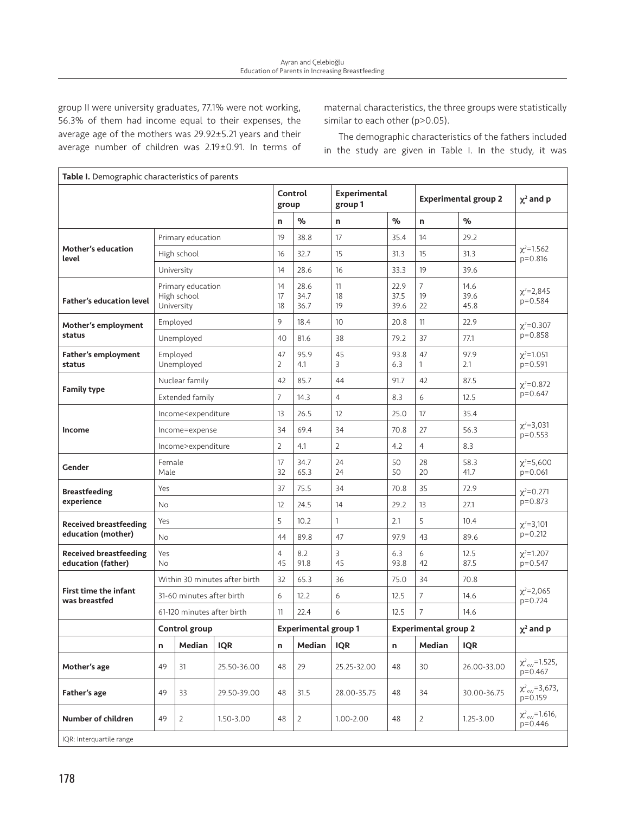group II were university graduates, 77.1% were not working, 56.3% of them had income equal to their expenses, the average age of the mothers was 29.92±5.21 years and their average number of children was 2.19±0.91. In terms of maternal characteristics, the three groups were statistically similar to each other (p>0.05).

The demographic characteristics of the fathers included in the study are given in Table I. In the study, it was

| Table I. Demographic characteristics of parents     |                                                                                                                                                                                             |                            |             |                             |                      |                                |                      |                             |                      |                                           |
|-----------------------------------------------------|---------------------------------------------------------------------------------------------------------------------------------------------------------------------------------------------|----------------------------|-------------|-----------------------------|----------------------|--------------------------------|----------------------|-----------------------------|----------------------|-------------------------------------------|
|                                                     |                                                                                                                                                                                             |                            |             | group                       | Control              | <b>Experimental</b><br>group 1 |                      | <b>Experimental group 2</b> |                      | $\chi^2$ and p                            |
|                                                     |                                                                                                                                                                                             |                            |             | n                           | %                    | n                              | $\%$                 | n                           | $\%$                 |                                           |
|                                                     |                                                                                                                                                                                             | Primary education          |             | 19                          | 38.8                 | 17                             | 35.4                 | 14                          | 29.2                 |                                           |
| <b>Mother's education</b><br>level                  |                                                                                                                                                                                             | High school                |             | 16                          | 32.7                 | 15                             | 31.3                 | 15                          | 31.3                 | $\chi^2$ =1.562<br>$p = 0.816$            |
|                                                     |                                                                                                                                                                                             | University                 |             | 14                          | 28.6                 | 16                             | 33.3                 | 19                          | 39.6                 |                                           |
| <b>Father's education level</b>                     | Primary education<br>High school<br>University                                                                                                                                              |                            |             |                             | 28.6<br>34.7<br>36.7 | 11<br>18<br>19                 | 22.9<br>37.5<br>39.6 | $\overline{7}$<br>19<br>22  | 14.6<br>39.6<br>45.8 | $\chi^2 = 2,845$<br>$p = 0.584$           |
| Mother's employment                                 |                                                                                                                                                                                             | Employed                   |             | 9                           | 18.4                 | 10                             | 20.8                 | 11                          | 22.9                 | $\chi^2 = 0.307$                          |
| status                                              |                                                                                                                                                                                             | Unemployed                 |             | 40                          | 81.6                 | 38                             | 79.2                 | 37                          | 77.1                 | $p = 0.858$                               |
| <b>Father's employment</b><br>status                |                                                                                                                                                                                             | Employed<br>Unemployed     |             | 47<br>2                     | 95.9<br>4.1          | 45<br>3                        | 93.8<br>6.3          | 47<br>1                     | 97.9<br>2.1          | $\chi^2$ =1.051<br>$p = 0.591$            |
|                                                     | Nuclear family                                                                                                                                                                              |                            |             | 42                          | 85.7                 | 44                             | 91.7                 | 42                          | 87.5                 | $\chi^2 = 0.872$<br>$p=0.647$             |
| <b>Family type</b>                                  | Extended family                                                                                                                                                                             |                            |             | $\overline{7}$              | 14.3                 | $\overline{4}$                 | 8.3                  | 6                           | 12.5                 |                                           |
|                                                     | Income <expenditure< td=""><td>13</td><td>26.5</td><td>12</td><td>25.0</td><td>17</td><td>35.4</td><td rowspan="3"><math>\chi^2 = 3,031</math><br/><math>p=0.553</math></td></expenditure<> |                            |             | 13                          | 26.5                 | 12                             | 25.0                 | 17                          | 35.4                 | $\chi^2 = 3,031$<br>$p=0.553$             |
| Income                                              | Income=expense                                                                                                                                                                              |                            |             | 34                          | 69.4                 | 34                             | 70.8                 | 27                          | 56.3                 |                                           |
|                                                     | Income>expenditure                                                                                                                                                                          |                            |             | $\overline{2}$              | 4.1                  | $\overline{2}$                 | 4.2                  | $\overline{4}$              | 8.3                  |                                           |
| Gender                                              |                                                                                                                                                                                             | Female<br>Male             |             |                             | 34.7<br>65.3         | 24<br>24                       | 50<br>50             | 28<br>20                    | 58.3<br>41.7         | $\chi^2 = 5,600$<br>$p=0.061$             |
| <b>Breastfeeding</b>                                | Yes                                                                                                                                                                                         |                            |             | 37                          | 75.5                 | 34                             | 70.8                 | 35                          | 72.9                 | $\chi^2 = 0.271$<br>$p=0.873$             |
| experience                                          | <b>No</b>                                                                                                                                                                                   |                            |             | 12                          | 24.5                 | 14                             | 29.2                 | 13                          | 27.1                 |                                           |
| <b>Received breastfeeding</b>                       | Yes                                                                                                                                                                                         |                            |             | 5                           | 10.2                 | $\mathbf{1}$                   | 2.1                  | 5                           | 10.4                 | $\chi^2 = 3,101$                          |
| education (mother)                                  | No                                                                                                                                                                                          |                            |             | 44                          | 89.8                 | 47                             | 97.9                 | 43                          | 89.6                 | $p=0.212$                                 |
| <b>Received breastfeeding</b><br>education (father) | Yes<br><b>No</b>                                                                                                                                                                            |                            |             | $\overline{4}$<br>45        | 8.2<br>91.8          | 3<br>45                        | 6.3<br>93.8          | 6<br>42                     | 12.5<br>87.5         | $\chi^2$ =1.207<br>$p = 0.547$            |
|                                                     | Within 30 minutes after birth                                                                                                                                                               |                            |             | 32                          | 65.3                 | 36                             | 75.0                 | 34                          | 70.8                 |                                           |
| <b>First time the infant</b><br>was breastfed       | 31-60 minutes after birth                                                                                                                                                                   |                            |             | 6                           | 12.2                 | 6                              | 12.5                 | $\overline{7}$              | 14.6                 | $\chi^2 = 2,065$<br>$p=0.724$             |
|                                                     |                                                                                                                                                                                             | 61-120 minutes after birth |             | 11                          | 22.4                 | 6                              | 12.5                 | $7\overline{ }$             | 14.6                 |                                           |
|                                                     |                                                                                                                                                                                             | Control group              |             | <b>Experimental group 1</b> |                      |                                |                      | <b>Experimental group 2</b> |                      | $\chi^2$ and p                            |
|                                                     | n                                                                                                                                                                                           | Median                     | <b>IQR</b>  | n                           | Median               | <b>IQR</b>                     | n                    | <b>Median</b>               | <b>IQR</b>           |                                           |
| Mother's age                                        | 49                                                                                                                                                                                          | 31                         | 25.50-36.00 | 48                          | 29                   | 25.25-32.00                    | 48                   | 30                          | 26.00-33.00          | $\chi^2_{\text{KW}}$ =1.525,<br>$p=0.467$ |
| Father's age                                        | 49                                                                                                                                                                                          | 33                         | 29.50-39.00 | 48                          | 31.5                 | 28.00-35.75                    | 48                   | 34                          | 30.00-36.75          | $\chi^2_{\text{KW}}=3,673,$<br>p=0.159    |
| Number of children                                  | 49                                                                                                                                                                                          | 2                          | 1.50-3.00   | 48                          | 2                    | 1.00-2.00                      | 48                   | $\overline{2}$              | $1.25 - 3.00$        | $\chi^2_{\kappa w}$ =1.616,<br>$p=0.446$  |
| IQR: Interquartile range                            |                                                                                                                                                                                             |                            |             |                             |                      |                                |                      |                             |                      |                                           |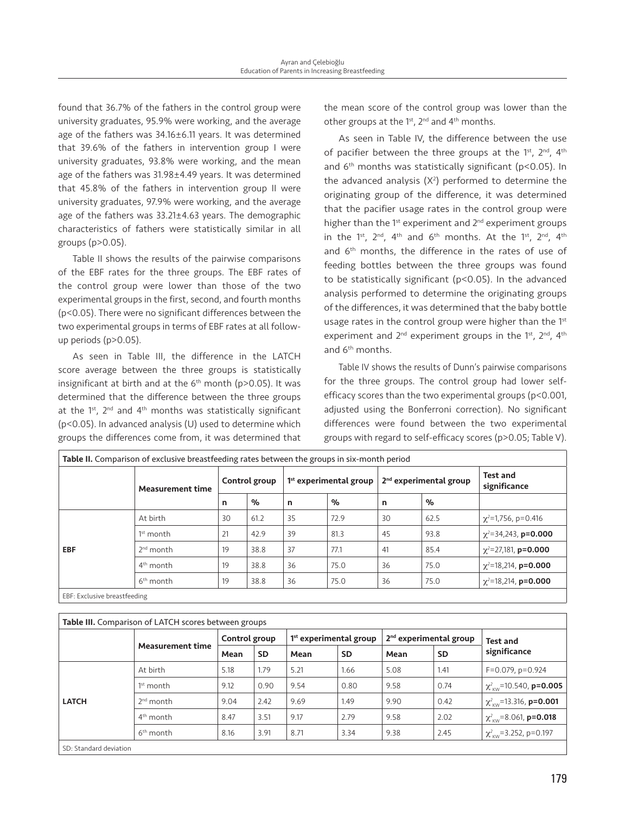found that 36.7% of the fathers in the control group were university graduates, 95.9% were working, and the average age of the fathers was 34.16±6.11 years. It was determined that 39.6% of the fathers in intervention group I were university graduates, 93.8% were working, and the mean age of the fathers was 31.98±4.49 years. It was determined that 45.8% of the fathers in intervention group II were university graduates, 97.9% were working, and the average age of the fathers was 33.21±4.63 years. The demographic characteristics of fathers were statistically similar in all groups (p>0.05).

Table II shows the results of the pairwise comparisons of the EBF rates for the three groups. The EBF rates of the control group were lower than those of the two experimental groups in the first, second, and fourth months (p<0.05). There were no significant differences between the two experimental groups in terms of EBF rates at all followup periods (p>0.05).

As seen in Table III, the difference in the LATCH score average between the three groups is statistically insignificant at birth and at the  $6<sup>th</sup>$  month (p>0.05). It was determined that the difference between the three groups at the  $1^{st}$ ,  $2^{nd}$  and  $4^{th}$  months was statistically significant (p<0.05). In advanced analysis (U) used to determine which groups the differences come from, it was determined that the mean score of the control group was lower than the other groups at the 1<sup>st</sup>, 2<sup>nd</sup> and 4<sup>th</sup> months.

As seen in Table IV, the difference between the use of pacifier between the three groups at the 1<sup>st</sup>, 2<sup>nd</sup>, 4<sup>th</sup> and  $6<sup>th</sup>$  months was statistically significant (p<0.05). In the advanced analysis  $(X^2)$  performed to determine the originating group of the difference, it was determined that the pacifier usage rates in the control group were higher than the  $1<sup>st</sup>$  experiment and  $2<sup>nd</sup>$  experiment groups in the 1<sup>st</sup>, 2<sup>nd</sup>, 4<sup>th</sup> and 6<sup>th</sup> months. At the 1<sup>st</sup>, 2<sup>nd</sup>, 4<sup>th</sup> and 6<sup>th</sup> months, the difference in the rates of use of feeding bottles between the three groups was found to be statistically significant (p<0.05). In the advanced analysis performed to determine the originating groups of the differences, it was determined that the baby bottle usage rates in the control group were higher than the 1<sup>st</sup> experiment and  $2^{nd}$  experiment groups in the 1<sup>st</sup>,  $2^{nd}$ ,  $4^{th}$ and 6th months.

Table IV shows the results of Dunn's pairwise comparisons for the three groups. The control group had lower selfefficacy scores than the two experimental groups (p<0.001, adjusted using the Bonferroni correction). No significant differences were found between the two experimental groups with regard to self-efficacy scores (p>0.05; Table V).

| Table II. Comparison of exclusive breastfeeding rates between the groups in six-month period |                         |               |      |                          |      |                                    |      |                                  |  |  |
|----------------------------------------------------------------------------------------------|-------------------------|---------------|------|--------------------------|------|------------------------------------|------|----------------------------------|--|--|
|                                                                                              | <b>Measurement time</b> | Control group |      | $1st$ experimental group |      | 2 <sup>nd</sup> experimental group |      | <b>Test and</b><br>significance  |  |  |
|                                                                                              |                         | n             | $\%$ | n                        | $\%$ | n                                  | $\%$ |                                  |  |  |
| <b>EBF</b>                                                                                   | At birth                | 30            | 61.2 | 35                       | 72.9 | 30                                 | 62.5 | $\chi^2$ =1,756, p=0.416         |  |  |
|                                                                                              | $1st$ month             | 21            | 42.9 | 39                       | 81.3 | 45                                 | 93.8 | $\chi^2$ =34,243, <b>p=0.000</b> |  |  |
|                                                                                              | $2nd$ month             | 19            | 38.8 | 37                       | 77.1 | 41                                 | 85.4 | $\chi^2$ =27,181, <b>p=0.000</b> |  |  |
|                                                                                              | $4th$ month             | 19            | 38.8 | 36                       | 75.0 | 36                                 | 75.0 | $\chi^2$ =18,214, <b>p=0.000</b> |  |  |
|                                                                                              | 6 <sup>th</sup> month   | 19            | 38.8 | 36                       | 75.0 | 36                                 | 75.0 | $\chi^2$ =18,214, <b>p=0.000</b> |  |  |
| EBF: Exclusive breastfeeding                                                                 |                         |               |      |                          |      |                                    |      |                                  |  |  |

#### Table III. Comparison of LATCH scores between groups

| <b>Table III.</b> Companson of LATCH SCOTES DELWEEN groups |                         |               |           |                                    |           |                                    |           |                                              |  |
|------------------------------------------------------------|-------------------------|---------------|-----------|------------------------------------|-----------|------------------------------------|-----------|----------------------------------------------|--|
|                                                            | <b>Measurement time</b> | Control group |           | 1 <sup>st</sup> experimental group |           | 2 <sup>nd</sup> experimental group |           | <b>Test and</b>                              |  |
|                                                            |                         | Mean          | <b>SD</b> | Mean                               | <b>SD</b> | Mean                               | <b>SD</b> | significance                                 |  |
| <b>LATCH</b>                                               | At birth                | 5.18          | 1.79      | 5.21                               | 1.66      | 5.08                               | 1.41      | $F=0.079$ , $p=0.924$                        |  |
|                                                            | $1st$ month             | 9.12          | 0.90      | 9.54                               | 0.80      | 9.58                               | 0.74      | $\chi^2_{\text{KW}}$ =10.540, p=0.005        |  |
|                                                            | $2^{nd}$ month          | 9.04          | 2.42      | 9.69                               | 1.49      | 9.90                               | 0.42      | $\chi^2_{\text{KW}}$ =13.316, <b>p=0.001</b> |  |
|                                                            | $4th$ month             | 8.47          | 3.51      | 9.17                               | 2.79      | 9.58                               | 2.02      | $\chi^2_{\text{EW}}$ =8.061, <b>p=0.018</b>  |  |
|                                                            | 6 <sup>th</sup> month   | 8.16          | 3.91      | 8.71                               | 3.34      | 9.38                               | 2.45      | $\chi^2_{\text{KW}}$ =3.252, p=0.197         |  |
| _____                                                      |                         |               |           |                                    |           |                                    |           |                                              |  |

SD: Standard deviation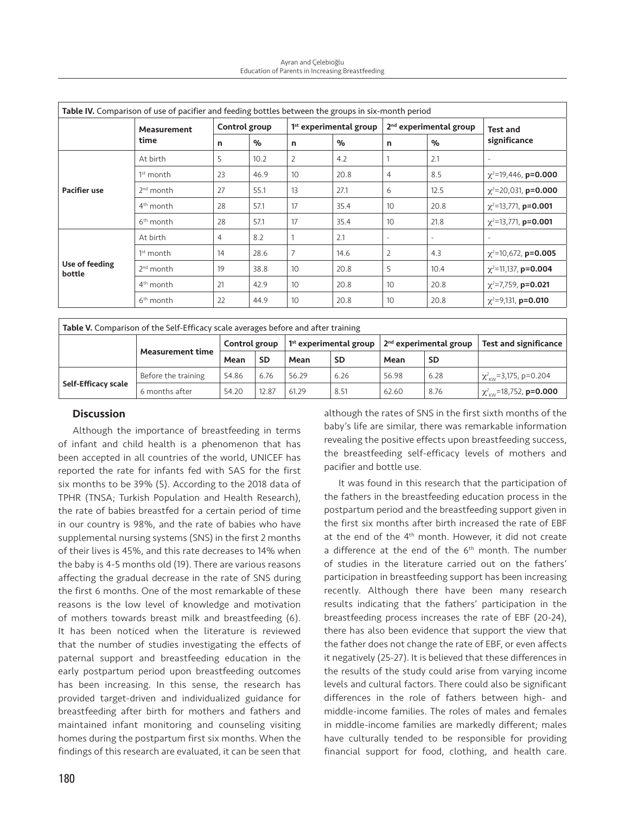Ayran and Çelebioğlu Education of Parents in Increasing Breastfeeding

| Table IV. Comparison of use of pacifier and feeding bottles between the groups in six-month period |                       |                |      |                                    |      |                                    |                          |                                  |  |
|----------------------------------------------------------------------------------------------------|-----------------------|----------------|------|------------------------------------|------|------------------------------------|--------------------------|----------------------------------|--|
|                                                                                                    | Measurement<br>time   | Control group  |      | 1 <sup>st</sup> experimental group |      | 2 <sup>nd</sup> experimental group |                          | <b>Test and</b>                  |  |
|                                                                                                    |                       | n              | $\%$ | n                                  | $\%$ | n                                  | $\alpha$                 | significance                     |  |
| <b>Pacifier use</b>                                                                                | At birth              | 5              | 10.2 | 2                                  | 4.2  |                                    | 2.1                      | $\overline{\phantom{a}}$         |  |
|                                                                                                    | $1st$ month           | 23             | 46.9 | 10                                 | 20.8 | $\overline{4}$                     | 8.5                      | $\chi^2$ =19,446, <b>p=0.000</b> |  |
|                                                                                                    | $2nd$ month           | 27             | 55.1 | 13                                 | 27.1 | 6                                  | 12.5                     | $\chi^2$ =20,031, <b>p=0.000</b> |  |
|                                                                                                    | $4th$ month           | 28             | 57.1 | 17                                 | 35.4 | 10 <sup>°</sup>                    | 20.8                     | $\chi^2$ =13,771, <b>p=0.001</b> |  |
|                                                                                                    | $6th$ month           | 28             | 57.1 | 17                                 | 35.4 | 10 <sup>°</sup>                    | 21.8                     | $\chi^2$ =13,771, <b>p=0.001</b> |  |
| Use of feeding<br>bottle                                                                           | At birth              | $\overline{4}$ | 8.2  |                                    | 2.1  | $\overline{\phantom{a}}$           | $\overline{\phantom{a}}$ |                                  |  |
|                                                                                                    | $1st$ month           | 14             | 28.6 |                                    | 14.6 | $\overline{2}$                     | 4.3                      | $\chi^2$ =10,672, <b>p=0.005</b> |  |
|                                                                                                    | $2nd$ month           | 19             | 38.8 | 10                                 | 20.8 | 5                                  | 10.4                     | $\chi^2$ =11,137, <b>p=0.004</b> |  |
|                                                                                                    | $4th$ month           | 21             | 42.9 | 10 <sup>1</sup>                    | 20.8 | 10 <sup>°</sup>                    | 20.8                     | $\chi^2$ =7,759, <b>p=0.021</b>  |  |
|                                                                                                    | 6 <sup>th</sup> month | 22             | 44.9 | 10                                 | 20.8 | 10                                 | 20.8                     | $\chi^2$ =9,131, <b>p=0.010</b>  |  |

| <b>Table V.</b> Comparison of the Self-Efficacy scale averages before and after training |                         |               |           |                                    |           |                                    |      |                                                            |  |
|------------------------------------------------------------------------------------------|-------------------------|---------------|-----------|------------------------------------|-----------|------------------------------------|------|------------------------------------------------------------|--|
|                                                                                          | <b>Measurement time</b> | Control group |           | 1 <sup>st</sup> experimental group |           | 2 <sup>nd</sup> experimental group |      | <b>Test and significance</b>                               |  |
|                                                                                          |                         | Mean          | <b>SD</b> | Mean                               | <b>SD</b> | Mean                               | SD   |                                                            |  |
| Self-Efficacy scale                                                                      | Before the training     | 54.86         | 6.76      | 56.29                              | 6.26      | 56.98                              | 6.28 | $\frac{1}{2}$ $\chi^2_{\text{KW}}$ = 3,175, p=0.204        |  |
|                                                                                          | 6 months after          | 54.20         | 12.87     | 61.29                              | 8.51      | 62.60                              | 8.76 | $\frac{1}{2}$ $\chi^2_{\text{KW}}$ =18,752, <b>p=0.000</b> |  |

## **Discussion**

Although the importance of breastfeeding in terms of infant and child health is a phenomenon that has been accepted in all countries of the world, UNICEF has reported the rate for infants fed with SAS for the first six months to be 39% (5). According to the 2018 data of TPHR (TNSA; Turkish Population and Health Research), the rate of babies breastfed for a certain period of time in our country is 98%, and the rate of babies who have supplemental nursing systems (SNS) in the first 2 months of their lives is 45%, and this rate decreases to 14% when the baby is 4-5 months old (19). There are various reasons affecting the gradual decrease in the rate of SNS during the first 6 months. One of the most remarkable of these reasons is the low level of knowledge and motivation of mothers towards breast milk and breastfeeding (6). It has been noticed when the literature is reviewed that the number of studies investigating the effects of paternal support and breastfeeding education in the early postpartum period upon breastfeeding outcomes has been increasing. In this sense, the research has provided target-driven and individualized guidance for breastfeeding after birth for mothers and fathers and maintained infant monitoring and counseling visiting homes during the postpartum first six months. When the findings of this research are evaluated, it can be seen that

although the rates of SNS in the first sixth months of the baby's life are similar, there was remarkable information revealing the positive effects upon breastfeeding success, the breastfeeding self-efficacy levels of mothers and pacifier and bottle use.

It was found in this research that the participation of the fathers in the breastfeeding education process in the postpartum period and the breastfeeding support given in the first six months after birth increased the rate of EBF at the end of the 4th month. However, it did not create a difference at the end of the 6<sup>th</sup> month. The number of studies in the literature carried out on the fathers' participation in breastfeeding support has been increasing recently. Although there have been many research results indicating that the fathers' participation in the breastfeeding process increases the rate of EBF (20-24), there has also been evidence that support the view that the father does not change the rate of EBF, or even affects it negatively (25-27). It is believed that these differences in the results of the study could arise from varying income levels and cultural factors. There could also be significant differences in the role of fathers between high- and middle-income families. The roles of males and females in middle-income families are markedly different; males have culturally tended to be responsible for providing financial support for food, clothing, and health care.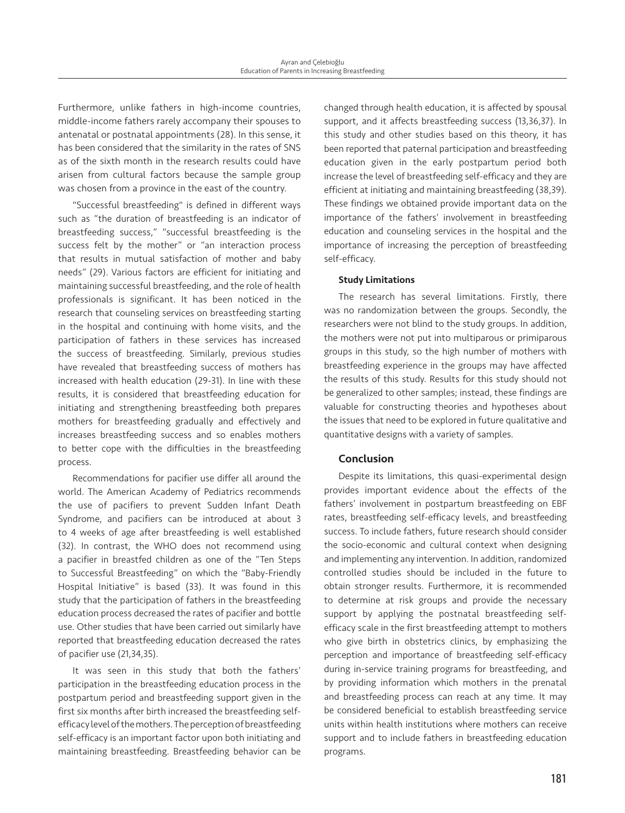Furthermore, unlike fathers in high-income countries, middle-income fathers rarely accompany their spouses to antenatal or postnatal appointments (28). In this sense, it has been considered that the similarity in the rates of SNS as of the sixth month in the research results could have arisen from cultural factors because the sample group was chosen from a province in the east of the country.

"Successful breastfeeding" is defined in different ways such as "the duration of breastfeeding is an indicator of breastfeeding success," "successful breastfeeding is the success felt by the mother" or "an interaction process that results in mutual satisfaction of mother and baby needs" (29). Various factors are efficient for initiating and maintaining successful breastfeeding, and the role of health professionals is significant. It has been noticed in the research that counseling services on breastfeeding starting in the hospital and continuing with home visits, and the participation of fathers in these services has increased the success of breastfeeding. Similarly, previous studies have revealed that breastfeeding success of mothers has increased with health education (29-31). In line with these results, it is considered that breastfeeding education for initiating and strengthening breastfeeding both prepares mothers for breastfeeding gradually and effectively and increases breastfeeding success and so enables mothers to better cope with the difficulties in the breastfeeding process.

Recommendations for pacifier use differ all around the world. The American Academy of Pediatrics recommends the use of pacifiers to prevent Sudden Infant Death Syndrome, and pacifiers can be introduced at about 3 to 4 weeks of age after breastfeeding is well established (32). In contrast, the WHO does not recommend using a pacifier in breastfed children as one of the "Ten Steps to Successful Breastfeeding" on which the "Baby-Friendly Hospital Initiative" is based (33). It was found in this study that the participation of fathers in the breastfeeding education process decreased the rates of pacifier and bottle use. Other studies that have been carried out similarly have reported that breastfeeding education decreased the rates of pacifier use (21,34,35).

It was seen in this study that both the fathers' participation in the breastfeeding education process in the postpartum period and breastfeeding support given in the first six months after birth increased the breastfeeding selfefficacy level of the mothers. The perception of breastfeeding self-efficacy is an important factor upon both initiating and maintaining breastfeeding. Breastfeeding behavior can be

changed through health education, it is affected by spousal support, and it affects breastfeeding success (13,36,37). In this study and other studies based on this theory, it has been reported that paternal participation and breastfeeding education given in the early postpartum period both increase the level of breastfeeding self-efficacy and they are efficient at initiating and maintaining breastfeeding (38,39). These findings we obtained provide important data on the importance of the fathers' involvement in breastfeeding education and counseling services in the hospital and the importance of increasing the perception of breastfeeding self-efficacy.

## Study Limitations

The research has several limitations. Firstly, there was no randomization between the groups. Secondly, the researchers were not blind to the study groups. In addition, the mothers were not put into multiparous or primiparous groups in this study, so the high number of mothers with breastfeeding experience in the groups may have affected the results of this study. Results for this study should not be generalized to other samples; instead, these findings are valuable for constructing theories and hypotheses about the issues that need to be explored in future qualitative and quantitative designs with a variety of samples.

## Conclusion

Despite its limitations, this quasi-experimental design provides important evidence about the effects of the fathers' involvement in postpartum breastfeeding on EBF rates, breastfeeding self-efficacy levels, and breastfeeding success. To include fathers, future research should consider the socio-economic and cultural context when designing and implementing any intervention. In addition, randomized controlled studies should be included in the future to obtain stronger results. Furthermore, it is recommended to determine at risk groups and provide the necessary support by applying the postnatal breastfeeding selfefficacy scale in the first breastfeeding attempt to mothers who give birth in obstetrics clinics, by emphasizing the perception and importance of breastfeeding self-efficacy during in-service training programs for breastfeeding, and by providing information which mothers in the prenatal and breastfeeding process can reach at any time. It may be considered beneficial to establish breastfeeding service units within health institutions where mothers can receive support and to include fathers in breastfeeding education programs.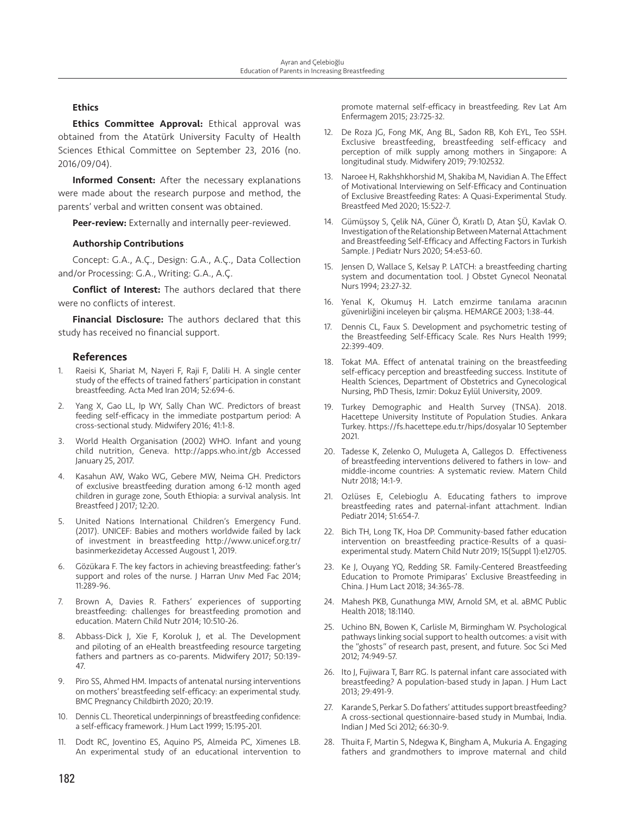### **Ethics**

**Ethics Committee Approval:** Ethical approval was obtained from the Atatürk University Faculty of Health Sciences Ethical Committee on September 23, 2016 (no. 2016/09/04).

Informed Consent: After the necessary explanations were made about the research purpose and method, the parents' verbal and written consent was obtained.

Peer-review: Externally and internally peer-reviewed.

#### Authorship Contributions

Concept: G.A., A.Ç., Design: G.A., A.Ç., Data Collection and/or Processing: G.A., Writing: G.A., A.Ç.

Conflict of Interest: The authors declared that there were no conflicts of interest.

**Financial Disclosure:** The authors declared that this study has received no financial support.

#### **References**

- 1. Raeisi K, Shariat M, Nayeri F, Raji F, Dalili H. A single center study of the effects of trained fathers' participation in constant breastfeeding. Acta Med Iran 2014; 52:694-6.
- 2. Yang X, Gao LL, Ip WY, Sally Chan WC. Predictors of breast feeding self-efficacy in the immediate postpartum period: A cross-sectional study. Midwifery 2016; 41:1-8.
- 3. World Health Organisation (2002) WHO. Infant and young child nutrition, Geneva. http://apps.who.int/gb Accessed January 25, 2017.
- 4. Kasahun AW, Wako WG, Gebere MW, Neima GH. Predictors of exclusive breastfeeding duration among 6-12 month aged children in gurage zone, South Ethiopia: a survival analysis. Int Breastfeed J 2017; 12:20.
- 5. United Nations International Children's Emergency Fund. (2017). UNICEF: Babies and mothers worldwide failed by lack of investment in breastfeeding http://www.unicef.org.tr/ basinmerkezidetay Accessed Augoust 1, 2019.
- 6. Gözükara F. The key factors in achieving breastfeeding: father's support and roles of the nurse. J Harran Univ Med Fac 2014; 11:289-96.
- Brown A, Davies R. Fathers' experiences of supporting breastfeeding: challenges for breastfeeding promotion and education. Matern Child Nutr 2014; 10:510-26.
- Abbass-Dick J, Xie F, Koroluk J, et al. The Development and piloting of an eHealth breastfeeding resource targeting fathers and partners as co-parents. Midwifery 2017; 50:139- 47.
- 9. Piro SS, Ahmed HM. Impacts of antenatal nursing interventions on mothers' breastfeeding self-efficacy: an experimental study. BMC Pregnancy Childbirth 2020; 20:19.
- 10. Dennis CL. Theoretical underpinnings of breastfeeding confidence: a self-efficacy framework. J Hum Lact 1999; 15:195-201.
- 11. Dodt RC, Joventino ES, Aquino PS, Almeida PC, Ximenes LB. An experimental study of an educational intervention to

promote maternal self-efficacy in breastfeeding. Rev Lat Am Enfermagem 2015; 23:725-32.

- 12. De Roza JG, Fong MK, Ang BL, Sadon RB, Koh EYL, Teo SSH. Exclusive breastfeeding, breastfeeding self-efficacy and perception of milk supply among mothers in Singapore: A longitudinal study. Midwifery 2019; 79:102532.
- 13. Naroee H, Rakhshkhorshid M, Shakiba M, Navidian A. The Effect of Motivational Interviewing on Self-Efficacy and Continuation of Exclusive Breastfeeding Rates: A Quasi-Experimental Study. Breastfeed Med 2020; 15:522-7.
- 14. Gümüşsoy S, Çelik NA, Güner Ö, Kıratlı D, Atan ŞÜ, Kavlak O. Investigation of the Relationship Between Maternal Attachment and Breastfeeding Self-Efficacy and Affecting Factors in Turkish Sample. J Pediatr Nurs 2020; 54:e53-60.
- 15. Jensen D, Wallace S, Kelsay P. LATCH: a breastfeeding charting system and documentation tool. J Obstet Gynecol Neonatal Nurs 1994; 23:27-32.
- 16. Yenal K, Okumuş H. Latch emzirme tanılama aracının güvenirliğini inceleyen bir çalışma. HEMARGE 2003; 1:38-44.
- Dennis CL, Faux S. Development and psychometric testing of the Breastfeeding Self-Efficacy Scale. Res Nurs Health 1999; 22:399-409.
- 18. Tokat MA. Effect of antenatal training on the breastfeeding self-efficacy perception and breastfeeding success. Institute of Health Sciences, Department of Obstetrics and Gynecological Nursing, PhD Thesis, Izmir: Dokuz Eylül University, 2009.
- 19. Turkey Demographic and Health Survey (TNSA). 2018. Hacettepe University Institute of Population Studies. Ankara Turkey. https://fs.hacettepe.edu.tr/hips/dosyalar 10 September 2021.
- 20. Tadesse K, Zelenko O, Mulugeta A, Gallegos D. Effectiveness of breastfeeding interventions delivered to fathers in low- and middle-income countries: A systematic review. Matern Child Nutr 2018; 14:1-9.
- 21. Ozlüses E, Celebioglu A. Educating fathers to improve breastfeeding rates and paternal-infant attachment. Indian Pediatr 2014; 51:654-7.
- 22. Bich TH, Long TK, Hoa DP. Community-based father education intervention on breastfeeding practice-Results of a quasiexperimental study. Matern Child Nutr 2019; 15(Suppl 1):e12705.
- 23. Ke J, Ouyang YQ, Redding SR. Family-Centered Breastfeeding Education to Promote Primiparas' Exclusive Breastfeeding in China. J Hum Lact 2018; 34:365-78.
- 24. Mahesh PKB, Gunathunga MW, Arnold SM, et al. aBMC Public Health 2018; 18:1140.
- 25. Uchino BN, Bowen K, Carlisle M, Birmingham W. Psychological pathways linking social support to health outcomes: a visit with the "ghosts" of research past, present, and future. Soc Sci Med 2012; 74:949-57.
- 26. Ito J, Fujiwara T, Barr RG. Is paternal infant care associated with breastfeeding? A population-based study in Japan. J Hum Lact 2013; 29:491-9.
- 27. Karande S, Perkar S. Do fathers' attitudes support breastfeeding? A cross-sectional questionnaire-based study in Mumbai, India. Indian J Med Sci 2012; 66:30-9.
- 28. Thuita F, Martin S, Ndegwa K, Bingham A, Mukuria A. Engaging fathers and grandmothers to improve maternal and child